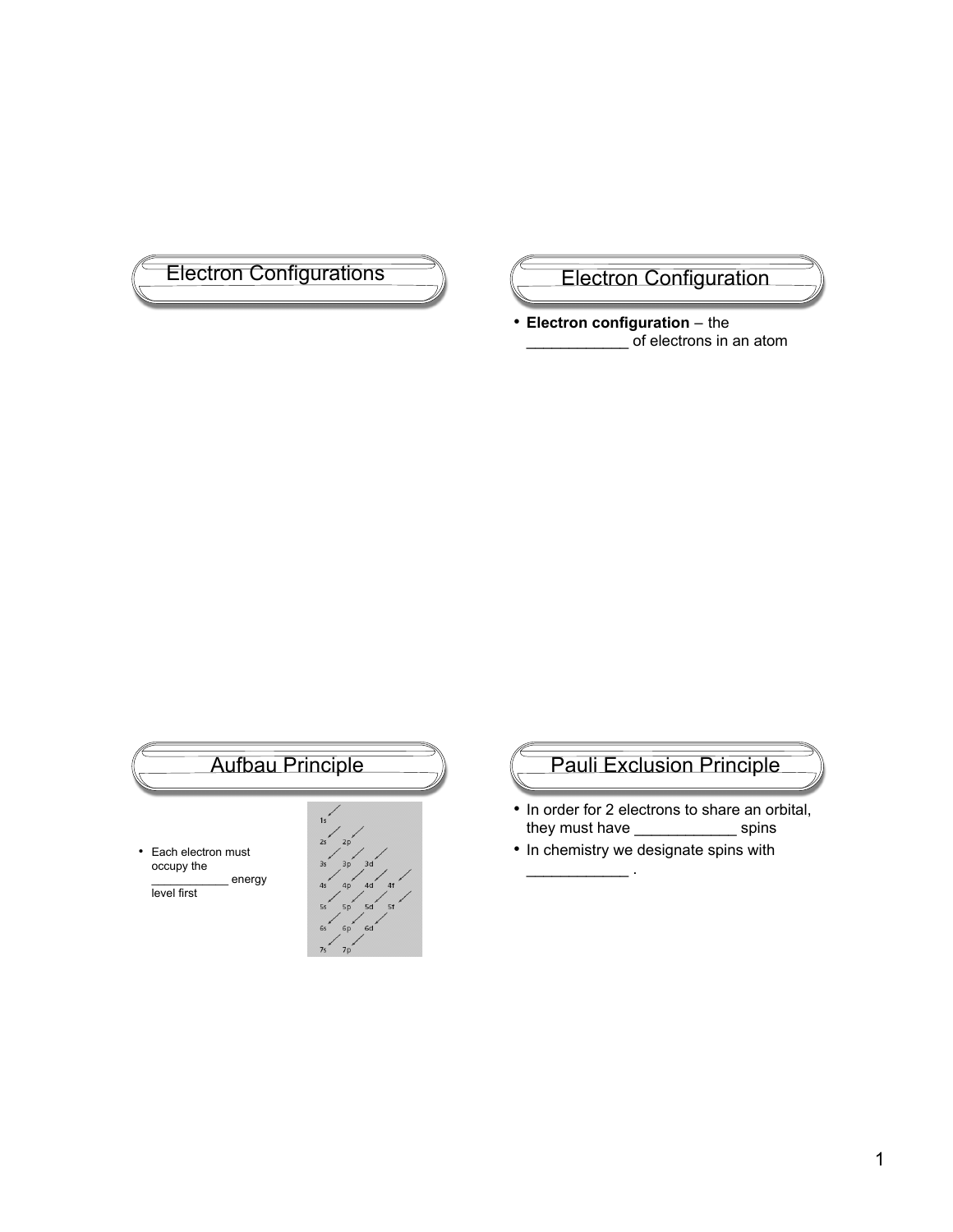

• **Electron configuration** – the \_\_\_\_\_\_\_\_\_\_\_\_ of electrons in an atom



# Pauli Exclusion Principle

- In order for 2 electrons to share an orbital, they must have \_\_\_\_\_\_\_\_\_\_\_\_\_\_\_\_ spins
- In chemistry we designate spins with

 $\mathcal{L}=\mathcal{L}^{\mathcal{L}}$  .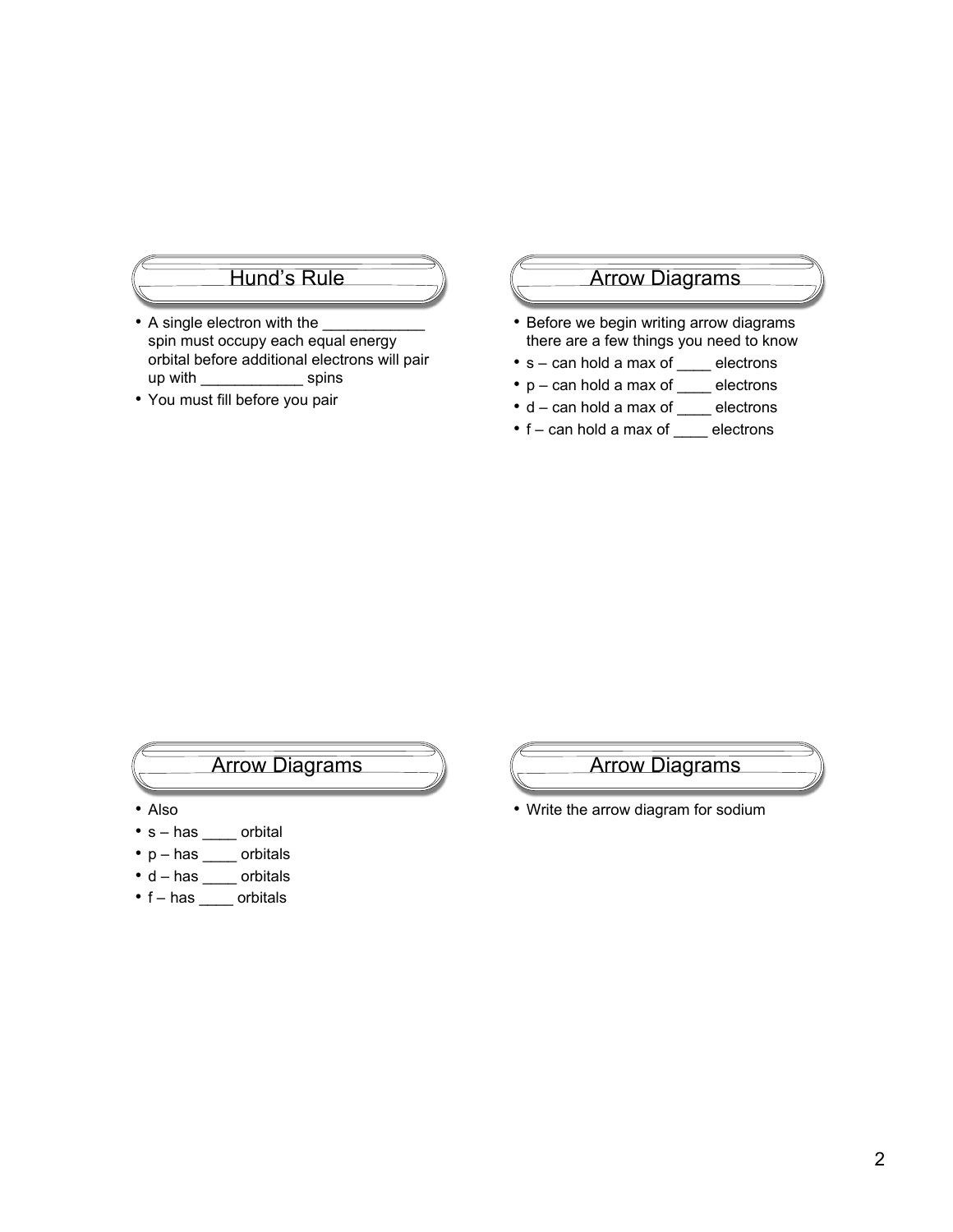### Hund's Rule

- A single electron with the spin must occupy each equal energy orbital before additional electrons will pair up with \_\_\_\_\_\_\_\_\_\_\_\_\_\_\_\_\_\_\_\_\_ spins
- You must fill before you pair

#### Arrow Diagrams

- Before we begin writing arrow diagrams there are a few things you need to know
- s can hold a max of \_\_\_\_ electrons
- p can hold a max of \_\_\_\_ electrons
- d can hold a max of \_\_\_\_ electrons
- f can hold a max of \_\_\_\_ electrons

# Arrow Diagrams

- Also
- s has \_\_\_\_ orbital
- p has \_\_\_\_\_ orbitals
- d has \_\_\_\_ orbitals
- f has \_\_\_\_ orbitals



• Write the arrow diagram for sodium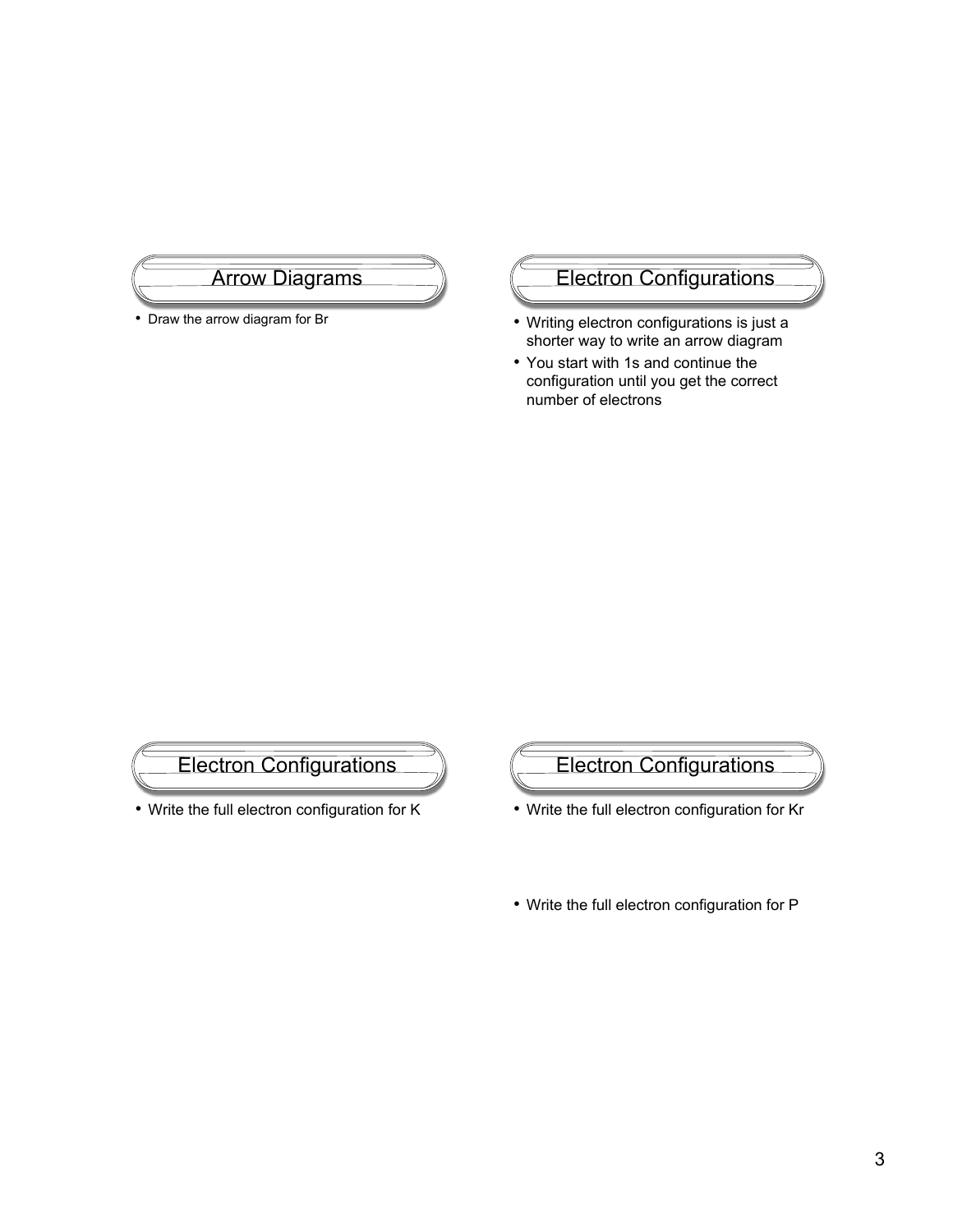### Arrow Diagrams

• Draw the arrow diagram for Br

# Electron Configurations

- Writing electron configurations is just a shorter way to write an arrow diagram
- You start with 1s and continue the configuration until you get the correct number of electrons



• Write the full electron configuration for K



- Write the full electron configuration for Kr
- Write the full electron configuration for P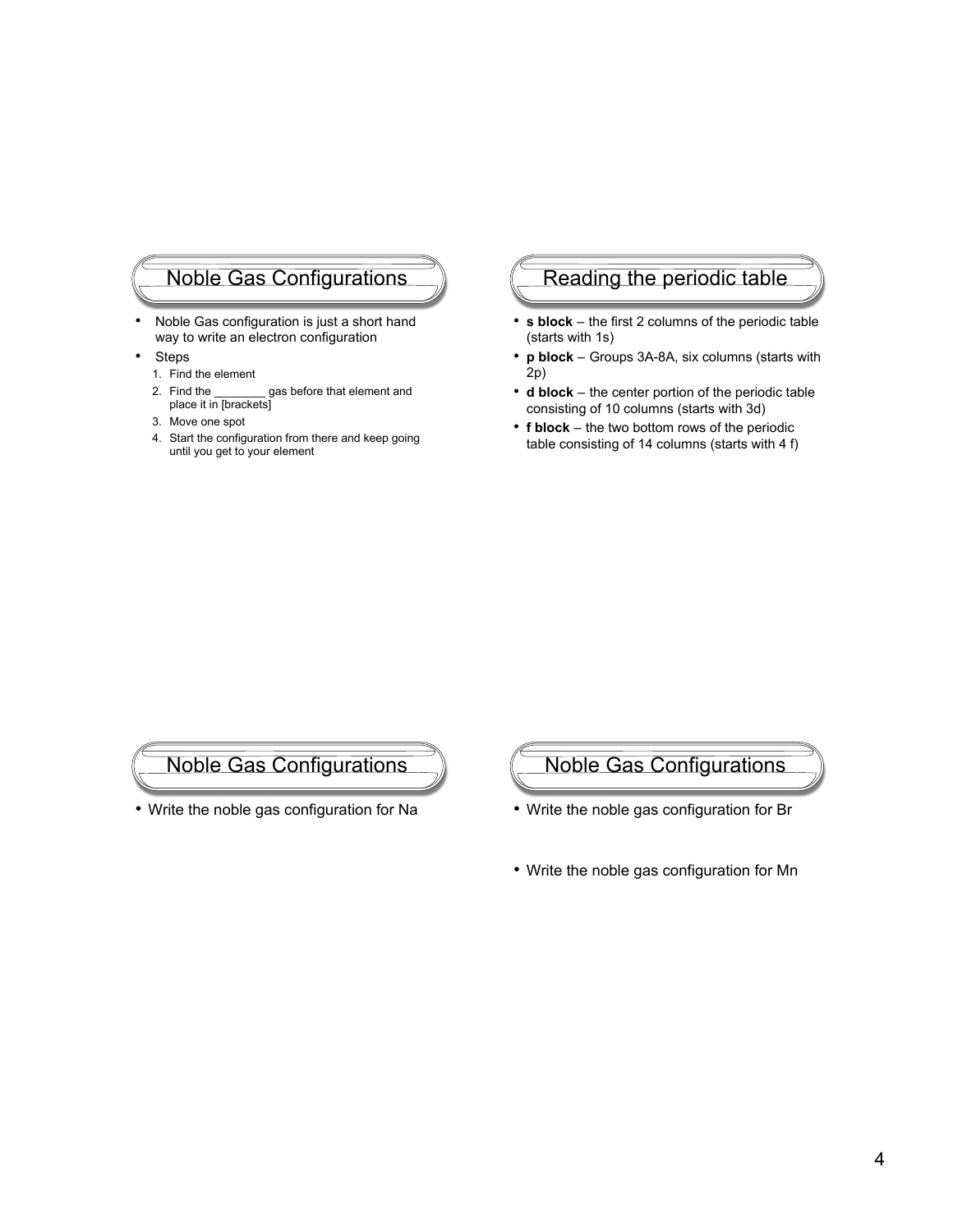# Noble Gas Configurations

- Noble Gas configuration is just a short hand way to write an electron configuration
- Steps
	- 1. Find the element
	- 2. Find the \_\_\_\_\_\_\_\_ gas before that element and place it in [brackets]
	- 3. Move one spot
	- 4. Start the configuration from there and keep going until you get to your element

#### Reading the periodic table

- **s block** the first 2 columns of the periodic table (starts with 1s)
- **p block** Groups 3A-8A, six columns (starts with 2p)
- **d block** the center portion of the periodic table consisting of 10 columns (starts with 3d)
- **f block** the two bottom rows of the periodic table consisting of 14 columns (starts with 4 f)

Noble Gas Configurations

• Write the noble gas configuration for Na



- Write the noble gas configuration for Br
- Write the noble gas configuration for Mn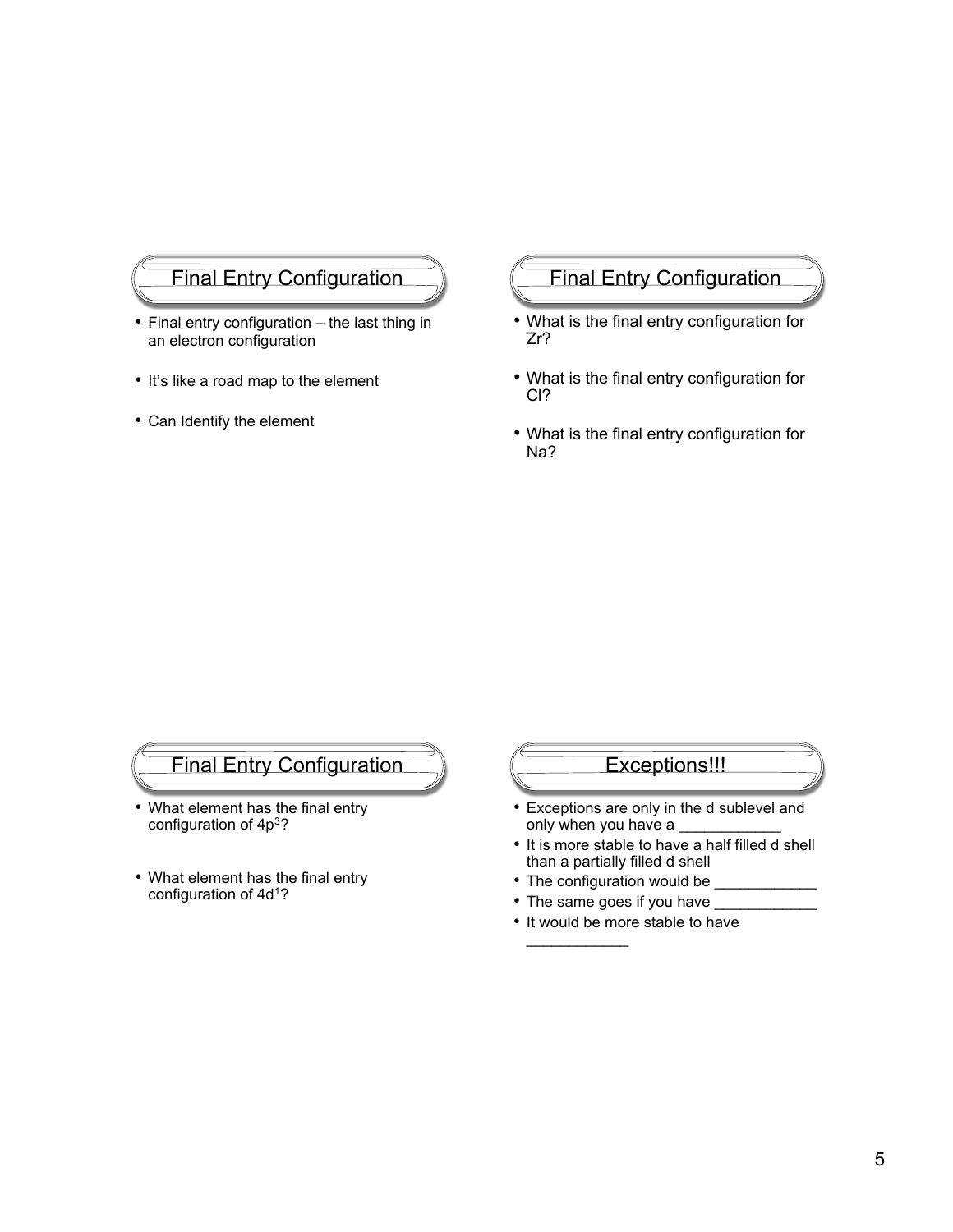# Final Entry Configuration

- Final entry configuration the last thing in an electron configuration
- It's like a road map to the element
- Can Identify the element

### Final Entry Configuration

- What is the final entry configuration for Zr?
- What is the final entry configuration for Cl?
- What is the final entry configuration for Na?

# Final Entry Configuration

- What element has the final entry configuration of 4p3?
- What element has the final entry configuration of 4d<sup>1</sup>?

# Exceptions!!!

- Exceptions are only in the d sublevel and only when you have a
- It is more stable to have a half filled d shell than a partially filled d shell
- The configuration would be

 $\frac{1}{2}$ 

- The same goes if you have
- It would be more stable to have